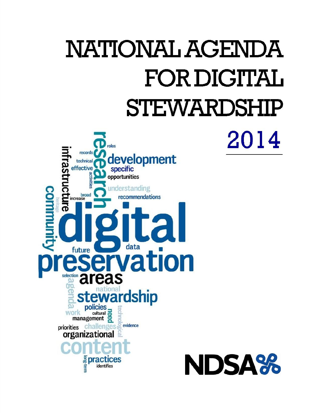# NATIONAL AGENDA **FOR DIGITAL STEWARDSHIP**

2014

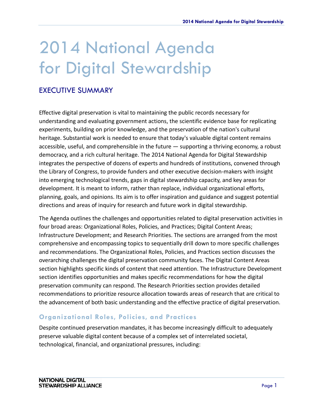# 2014 National Agenda for Digital Stewardship

# EXECUTIVE SUMMARY

Effective digital preservation is vital to maintaining the public records necessary for understanding and evaluating government actions, the scientific evidence base for replicating experiments, building on prior knowledge, and the preservation of the nation's cultural heritage. Substantial work is needed to ensure that today's valuable digital content remains accessible, useful, and comprehensible in the future — supporting a thriving economy, a robust democracy, and a rich cultural heritage. The 2014 National Agenda for Digital Stewardship integrates the perspective of dozens of experts and hundreds of institutions, convened through the Library of Congress, to provide funders and other executive decision‐makers with insight into emerging technological trends, gaps in digital stewardship capacity, and key areas for development. It is meant to inform, rather than replace, individual organizational efforts, planning, goals, and opinions. Its aim is to offer inspiration and guidance and suggest potential directions and areas of inquiry for research and future work in digital stewardship.

The Agenda outlines the challenges and opportunities related to digital preservation activities in four broad areas: Organizational Roles, Policies, and Practices; Digital Content Areas; Infrastructure Development; and Research Priorities. The sections are arranged from the most comprehensive and encompassing topics to sequentially drill down to more specific challenges and recommendations. The Organizational Roles, Policies, and Practices section discusses the overarching challenges the digital preservation community faces. The Digital Content Areas section highlights specific kinds of content that need attention. The Infrastructure Development section identifies opportunities and makes specific recommendations for how the digital preservation community can respond. The Research Priorities section provides detailed recommendations to prioritize resource allocation towards areas of research that are critical to the advancement of both basic understanding and the effective practice of digital preservation.

#### **Organizational Roles, Policies, and Practices**

Despite continued preservation mandates, it has become increasingly difficult to adequately preserve valuable digital content because of a complex set of interrelated societal, technological, financial, and organizational pressures, including: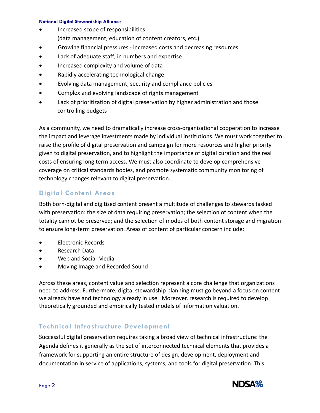#### **National Digital Stewardship Alliance**

- Increased scope of responsibilities (data management, education of content creators, etc.)
- Growing financial pressures ‐ increased costs and decreasing resources
- Lack of adequate staff, in numbers and expertise
- Increased complexity and volume of data
- Rapidly accelerating technological change
- Evolving data management, security and compliance policies
- Complex and evolving landscape of rights management
- Lack of prioritization of digital preservation by higher administration and those controlling budgets

As a community, we need to dramatically increase cross-organizational cooperation to increase the impact and leverage investments made by individual institutions. We must work together to raise the profile of digital preservation and campaign for more resources and higher priority given to digital preservation, and to highlight the importance of digital curation and the real costs of ensuring long term access. We must also coordinate to develop comprehensive coverage on critical standards bodies, and promote systematic community monitoring of technology changes relevant to digital preservation.

#### **Digital Content Areas**

Both born‐digital and digitized content present a multitude of challenges to stewards tasked with preservation: the size of data requiring preservation; the selection of content when the totality cannot be preserved; and the selection of modes of both content storage and migration to ensure long‐term preservation. Areas of content of particular concern include:

- Electronic Records
- Research Data
- Web and Social Media
- Moving Image and Recorded Sound

Across these areas, content value and selection represent a core challenge that organizations need to address. Furthermore, digital stewardship planning must go beyond a focus on content we already have and technology already in use. Moreover, research is required to develop theoretically grounded and empirically tested models of information valuation.

#### **Technical Infrastructure Development**

Successful digital preservation requires taking a broad view of technical infrastructure: the Agenda defines it generally as the set of interconnected technical elements that provides a framework for supporting an entire structure of design, development, deployment and documentation in service of applications, systems, and tools for digital preservation. This

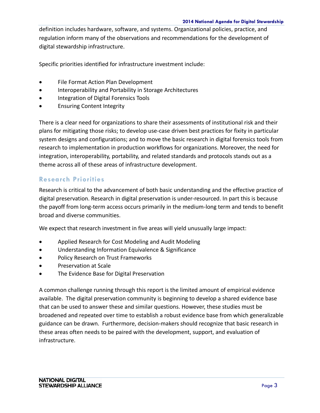definition includes hardware, software, and systems. Organizational policies, practice, and regulation inform many of the observations and recommendations for the development of digital stewardship infrastructure.

Specific priorities identified for infrastructure investment include:

- File Format Action Plan Development
- **•** Interoperability and Portability in Storage Architectures
- Integration of Digital Forensics Tools
- Ensuring Content Integrity

There is a clear need for organizations to share their assessments of institutional risk and their plans for mitigating those risks; to develop use‐case driven best practices for fixity in particular system designs and configurations; and to move the basic research in digital forensics tools from research to implementation in production workflows for organizations. Moreover, the need for integration, interoperability, portability, and related standards and protocols stands out as a theme across all of these areas of infrastructure development.

#### **Research Priorities**

Research is critical to the advancement of both basic understanding and the effective practice of digital preservation. Research in digital preservation is under‐resourced. In part this is because the payoff from long‐term access occurs primarily in the medium‐long term and tends to benefit broad and diverse communities.

We expect that research investment in five areas will yield unusually large impact:

- Applied Research for Cost Modeling and Audit Modeling
- Understanding Information Equivalence & Significance
- Policy Research on Trust Frameworks
- Preservation at Scale
- The Evidence Base for Digital Preservation

A common challenge running through this report is the limited amount of empirical evidence available. The digital preservation community is beginning to develop a shared evidence base that can be used to answer these and similar questions. However, these studies must be broadened and repeated over time to establish a robust evidence base from which generalizable guidance can be drawn. Furthermore, decision‐makers should recognize that basic research in these areas often needs to be paired with the development, support, and evaluation of infrastructure.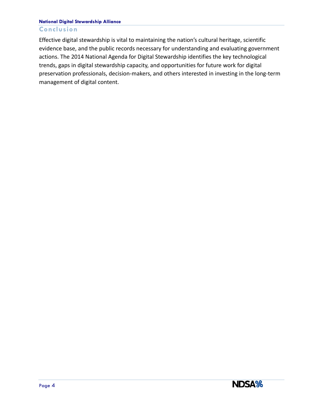#### **National Digital Stewardship Alliance**

#### **Conclusion**

Effective digital stewardship is vital to maintaining the nation's cultural heritage, scientific evidence base, and the public records necessary for understanding and evaluating government actions. The 2014 National Agenda for Digital Stewardship identifies the key technological trends, gaps in digital stewardship capacity, and opportunities for future work for digital preservation professionals, decision‐makers, and others interested in investing in the long‐term management of digital content.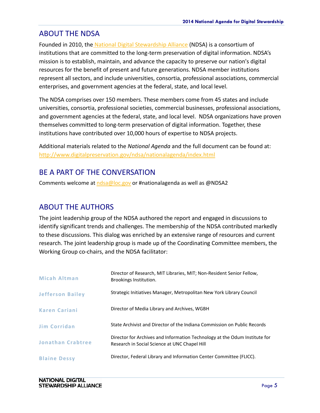## ABOUT THE NDSA

Founded in 2010, th[e](http://www.digitalpreservation.gov/ndsa/) National Digital [Stewardship](http://www.digitalpreservation.gov/ndsa/) Alliance (NDSA) is a consortium of institutions that are committed to the long-term preservation of digital information. NDSA's mission is to establish, maintain, and advance the capacity to preserve our nation's digital resources for the benefit of present and future generations. NDSA member institutions represent all sectors, and include universities, consortia, professional associations, commercial enterprises, and government agencies at the federal, state, and local level.

The NDSA comprises over 150 members. These members come from 45 states and include universities, consortia, professional societies, commercial businesses, professional associations, and government agencies at the federal, state, and local level. NDSA organizations have proven themselves committed to long‐term preservation of digital information. Together, these institutions have contributed over 10,000 hours of expertise to NDSA projects.

Additional materials related to the *National Agenda* and the full document can be found at: <http://www.digitalpreservation.gov/ndsa/nationalagenda/index.html>

# BE A PART OF THE CONVERSATION

Comments welcome at [ndsa@loc.gov](mailto:ndsa@loc.gov) or #nationalagenda as well as @NDSA2

### ABOUT THE AUTHORS

The joint leadership group of the NDSA authored the report and engaged in discussions to identify significant trends and challenges. The membership of the NDSA contributed markedly to these discussions. This dialog was enriched by an extensive range of resources and current research. The joint leadership group is made up of the Coordinating Committee members, the Working Group co-chairs, and the NDSA facilitator:

| Micah Altman             | Director of Research, MIT Libraries, MIT; Non-Resident Senior Fellow,<br>Brookings Institution.                             |
|--------------------------|-----------------------------------------------------------------------------------------------------------------------------|
| <b>Jefferson Bailey</b>  | Strategic Initiatives Manager, Metropolitan New York Library Council                                                        |
| <b>Karen Cariani</b>     | Director of Media Library and Archives, WGBH                                                                                |
| <b>Jim Corridan</b>      | State Archivist and Director of the Indiana Commission on Public Records                                                    |
| <b>Jonathan Crabtree</b> | Director for Archives and Information Technology at the Odum Institute for<br>Research in Social Science at UNC Chapel Hill |
| <b>Blaine Dessy</b>      | Director, Federal Library and Information Center Committee (FLICC).                                                         |